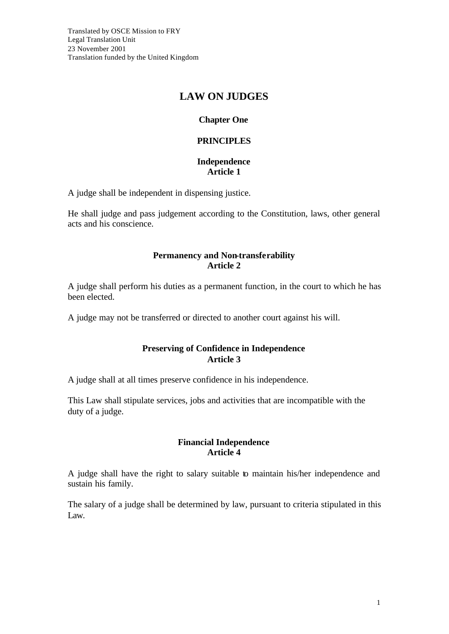# **LAW ON JUDGES**

# **Chapter One**

### **PRINCIPLES**

#### **Independence Article 1**

A judge shall be independent in dispensing justice.

He shall judge and pass judgement according to the Constitution, laws, other general acts and his conscience.

### **Permanency and Non-transferability Article 2**

A judge shall perform his duties as a permanent function, in the court to which he has been elected.

A judge may not be transferred or directed to another court against his will.

### **Preserving of Confidence in Independence Article 3**

A judge shall at all times preserve confidence in his independence.

This Law shall stipulate services, jobs and activities that are incompatible with the duty of a judge.

#### **Financial Independence Article 4**

A judge shall have the right to salary suitable to maintain his/her independence and sustain his family.

The salary of a judge shall be determined by law, pursuant to criteria stipulated in this Law.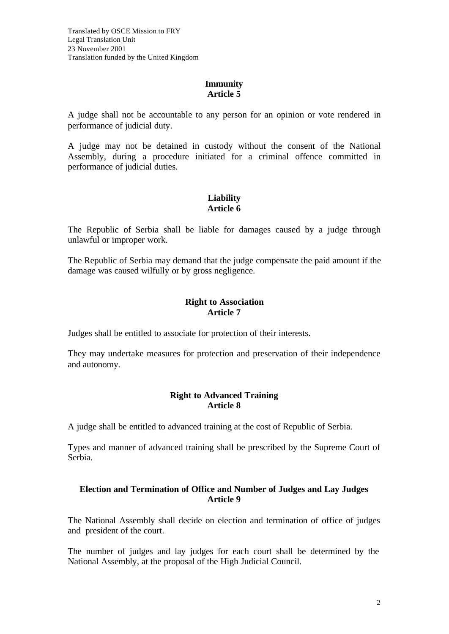### **Immunity Article 5**

A judge shall not be accountable to any person for an opinion or vote rendered in performance of judicial duty.

A judge may not be detained in custody without the consent of the National Assembly, during a procedure initiated for a criminal offence committed in performance of judicial duties.

# **Liability Article 6**

The Republic of Serbia shall be liable for damages caused by a judge through unlawful or improper work.

The Republic of Serbia may demand that the judge compensate the paid amount if the damage was caused wilfully or by gross negligence.

### **Right to Association Article 7**

Judges shall be entitled to associate for protection of their interests.

They may undertake measures for protection and preservation of their independence and autonomy.

### **Right to Advanced Training Article 8**

A judge shall be entitled to advanced training at the cost of Republic of Serbia.

Types and manner of advanced training shall be prescribed by the Supreme Court of Serbia.

### **Election and Termination of Office and Number of Judges and Lay Judges Article 9**

The National Assembly shall decide on election and termination of office of judges and president of the court.

The number of judges and lay judges for each court shall be determined by the National Assembly, at the proposal of the High Judicial Council.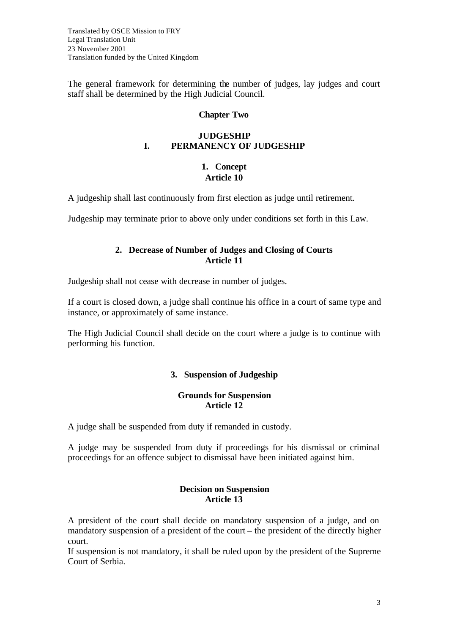Translated by OSCE Mission to FRY Legal Translation Unit 23 November 2001 Translation funded by the United Kingdom

The general framework for determining the number of judges, lay judges and court staff shall be determined by the High Judicial Council.

#### **Chapter Two**

#### **JUDGESHIP I. PERMANENCY OF JUDGESHIP**

#### **1. Concept Article 10**

A judgeship shall last continuously from first election as judge until retirement.

Judgeship may terminate prior to above only under conditions set forth in this Law.

### **2. Decrease of Number of Judges and Closing of Courts Article 11**

Judgeship shall not cease with decrease in number of judges.

If a court is closed down, a judge shall continue his office in a court of same type and instance, or approximately of same instance.

The High Judicial Council shall decide on the court where a judge is to continue with performing his function.

#### **3. Suspension of Judgeship**

#### **Grounds for Suspension Article 12**

A judge shall be suspended from duty if remanded in custody.

A judge may be suspended from duty if proceedings for his dismissal or criminal proceedings for an offence subject to dismissal have been initiated against him.

#### **Decision on Suspension Article 13**

A president of the court shall decide on mandatory suspension of a judge, and on mandatory suspension of a president of the court – the president of the directly higher court.

If suspension is not mandatory, it shall be ruled upon by the president of the Supreme Court of Serbia.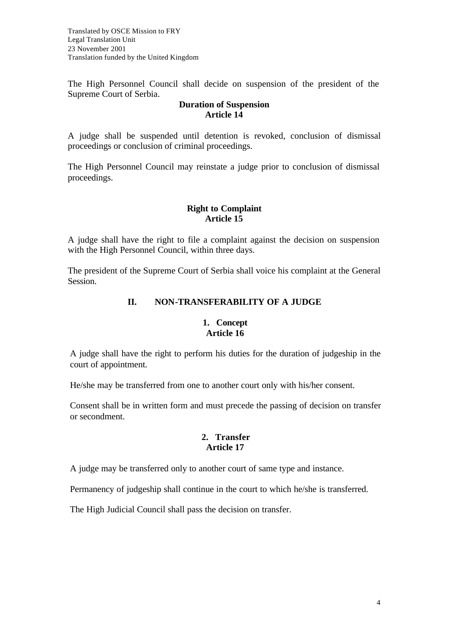Translated by OSCE Mission to FRY Legal Translation Unit 23 November 2001 Translation funded by the United Kingdom

The High Personnel Council shall decide on suspension of the president of the Supreme Court of Serbia.

#### **Duration of Suspension Article 14**

A judge shall be suspended until detention is revoked, conclusion of dismissal proceedings or conclusion of criminal proceedings.

The High Personnel Council may reinstate a judge prior to conclusion of dismissal proceedings.

### **Right to Complaint Article 15**

A judge shall have the right to file a complaint against the decision on suspension with the High Personnel Council, within three days.

The president of the Supreme Court of Serbia shall voice his complaint at the General Session.

# **II. NON-TRANSFERABILITY OF A JUDGE**

# **1. Concept Article 16**

A judge shall have the right to perform his duties for the duration of judgeship in the court of appointment.

He/she may be transferred from one to another court only with his/her consent.

Consent shall be in written form and must precede the passing of decision on transfer or secondment.

### **2. Transfer Article 17**

A judge may be transferred only to another court of same type and instance.

Permanency of judgeship shall continue in the court to which he/she is transferred.

The High Judicial Council shall pass the decision on transfer.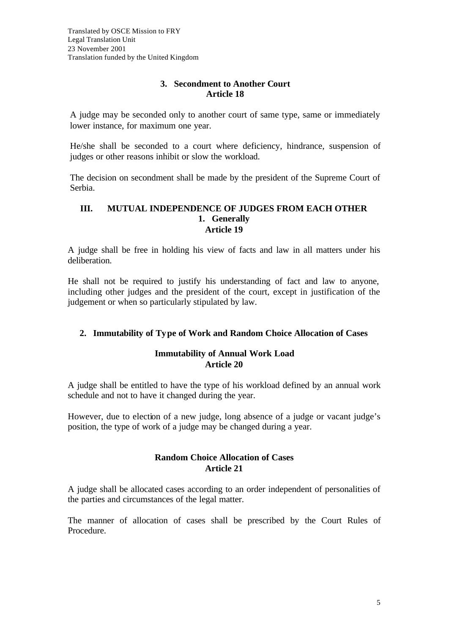### **3. Secondment to Another Court Article 18**

A judge may be seconded only to another court of same type, same or immediately lower instance, for maximum one year.

He/she shall be seconded to a court where deficiency, hindrance, suspension of judges or other reasons inhibit or slow the workload.

The decision on secondment shall be made by the president of the Supreme Court of Serbia.

#### **III. MUTUAL INDEPENDENCE OF JUDGES FROM EACH OTHER 1. Generally Article 19**

A judge shall be free in holding his view of facts and law in all matters under his deliberation.

He shall not be required to justify his understanding of fact and law to anyone, including other judges and the president of the court, except in justification of the judgement or when so particularly stipulated by law.

# **2. Immutability of Type of Work and Random Choice Allocation of Cases**

# **Immutability of Annual Work Load Article 20**

A judge shall be entitled to have the type of his workload defined by an annual work schedule and not to have it changed during the year.

However, due to election of a new judge, long absence of a judge or vacant judge's position, the type of work of a judge may be changed during a year.

# **Random Choice Allocation of Cases Article 21**

A judge shall be allocated cases according to an order independent of personalities of the parties and circumstances of the legal matter.

The manner of allocation of cases shall be prescribed by the Court Rules of Procedure.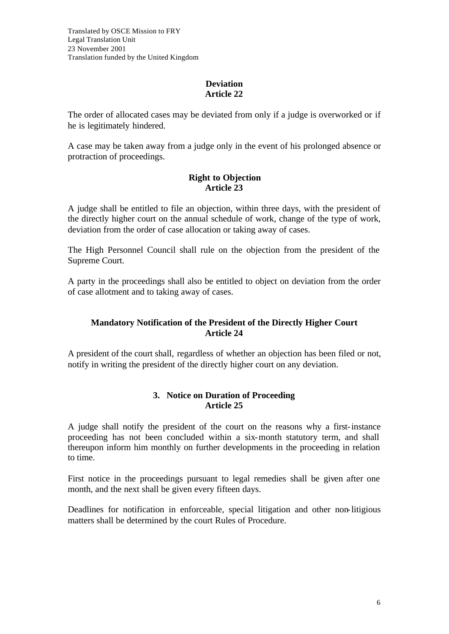# **Deviation Article 22**

The order of allocated cases may be deviated from only if a judge is overworked or if he is legitimately hindered.

A case may be taken away from a judge only in the event of his prolonged absence or protraction of proceedings.

# **Right to Objection Article 23**

A judge shall be entitled to file an objection, within three days, with the president of the directly higher court on the annual schedule of work, change of the type of work, deviation from the order of case allocation or taking away of cases.

The High Personnel Council shall rule on the objection from the president of the Supreme Court.

A party in the proceedings shall also be entitled to object on deviation from the order of case allotment and to taking away of cases.

# **Mandatory Notification of the President of the Directly Higher Court Article 24**

A president of the court shall, regardless of whether an objection has been filed or not, notify in writing the president of the directly higher court on any deviation.

# **3. Notice on Duration of Proceeding Article 25**

A judge shall notify the president of the court on the reasons why a first-instance proceeding has not been concluded within a six-month statutory term, and shall thereupon inform him monthly on further developments in the proceeding in relation to time.

First notice in the proceedings pursuant to legal remedies shall be given after one month, and the next shall be given every fifteen days.

Deadlines for notification in enforceable, special litigation and other non-litigious matters shall be determined by the court Rules of Procedure.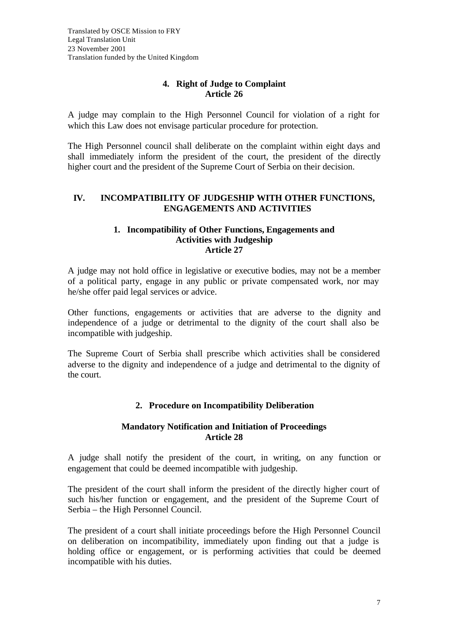# **4. Right of Judge to Complaint Article 26**

A judge may complain to the High Personnel Council for violation of a right for which this Law does not envisage particular procedure for protection.

The High Personnel council shall deliberate on the complaint within eight days and shall immediately inform the president of the court, the president of the directly higher court and the president of the Supreme Court of Serbia on their decision.

### **IV. INCOMPATIBILITY OF JUDGESHIP WITH OTHER FUNCTIONS, ENGAGEMENTS AND ACTIVITIES**

#### **1. Incompatibility of Other Functions, Engagements and Activities with Judgeship Article 27**

A judge may not hold office in legislative or executive bodies, may not be a member of a political party, engage in any public or private compensated work, nor may he/she offer paid legal services or advice.

Other functions, engagements or activities that are adverse to the dignity and independence of a judge or detrimental to the dignity of the court shall also be incompatible with judgeship.

The Supreme Court of Serbia shall prescribe which activities shall be considered adverse to the dignity and independence of a judge and detrimental to the dignity of the court.

# **2. Procedure on Incompatibility Deliberation**

### **Mandatory Notification and Initiation of Proceedings Article 28**

A judge shall notify the president of the court, in writing, on any function or engagement that could be deemed incompatible with judgeship.

The president of the court shall inform the president of the directly higher court of such his/her function or engagement, and the president of the Supreme Court of Serbia – the High Personnel Council.

The president of a court shall initiate proceedings before the High Personnel Council on deliberation on incompatibility, immediately upon finding out that a judge is holding office or engagement, or is performing activities that could be deemed incompatible with his duties.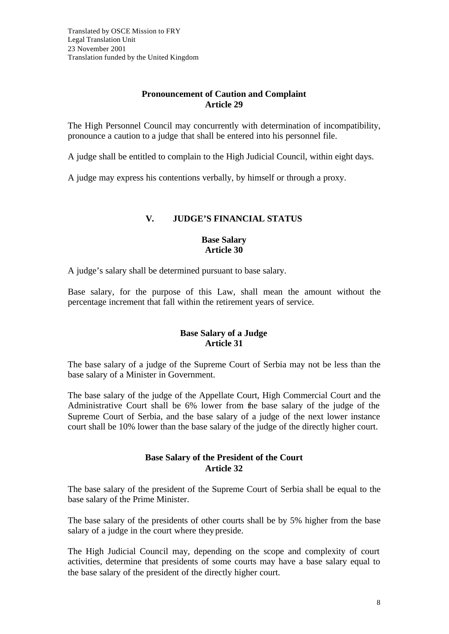# **Pronouncement of Caution and Complaint Article 29**

The High Personnel Council may concurrently with determination of incompatibility, pronounce a caution to a judge that shall be entered into his personnel file.

A judge shall be entitled to complain to the High Judicial Council, within eight days.

A judge may express his contentions verbally, by himself or through a proxy.

# **V. JUDGE'S FINANCIAL STATUS**

### **Base Salary Article 30**

A judge's salary shall be determined pursuant to base salary.

Base salary, for the purpose of this Law, shall mean the amount without the percentage increment that fall within the retirement years of service.

### **Base Salary of a Judge Article 31**

The base salary of a judge of the Supreme Court of Serbia may not be less than the base salary of a Minister in Government.

The base salary of the judge of the Appellate Court, High Commercial Court and the Administrative Court shall be 6% lower from the base salary of the judge of the Supreme Court of Serbia, and the base salary of a judge of the next lower instance court shall be 10% lower than the base salary of the judge of the directly higher court.

### **Base Salary of the President of the Court Article 32**

The base salary of the president of the Supreme Court of Serbia shall be equal to the base salary of the Prime Minister.

The base salary of the presidents of other courts shall be by 5% higher from the base salary of a judge in the court where they preside.

The High Judicial Council may, depending on the scope and complexity of court activities, determine that presidents of some courts may have a base salary equal to the base salary of the president of the directly higher court.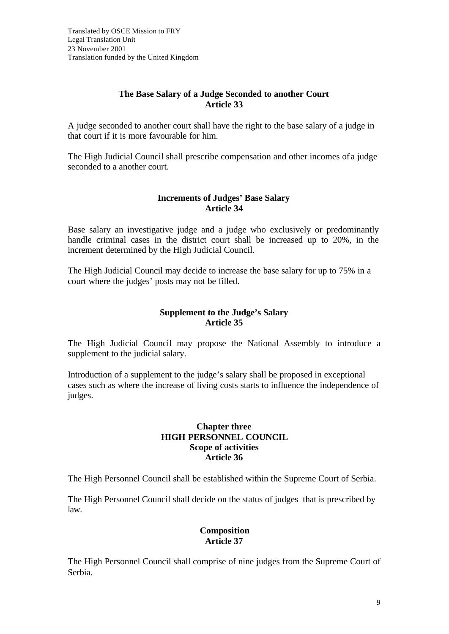# **The Base Salary of a Judge Seconded to another Court Article 33**

A judge seconded to another court shall have the right to the base salary of a judge in that court if it is more favourable for him.

The High Judicial Council shall prescribe compensation and other incomes of a judge seconded to a another court.

# **Increments of Judges' Base Salary Article 34**

Base salary an investigative judge and a judge who exclusively or predominantly handle criminal cases in the district court shall be increased up to 20%, in the increment determined by the High Judicial Council.

The High Judicial Council may decide to increase the base salary for up to 75% in a court where the judges' posts may not be filled.

### **Supplement to the Judge's Salary Article 35**

The High Judicial Council may propose the National Assembly to introduce a supplement to the judicial salary.

Introduction of a supplement to the judge's salary shall be proposed in exceptional cases such as where the increase of living costs starts to influence the independence of judges.

#### **Chapter three HIGH PERSONNEL COUNCIL Scope of activities Article 36**

The High Personnel Council shall be established within the Supreme Court of Serbia.

The High Personnel Council shall decide on the status of judges that is prescribed by law.

# **Composition Article 37**

The High Personnel Council shall comprise of nine judges from the Supreme Court of Serbia.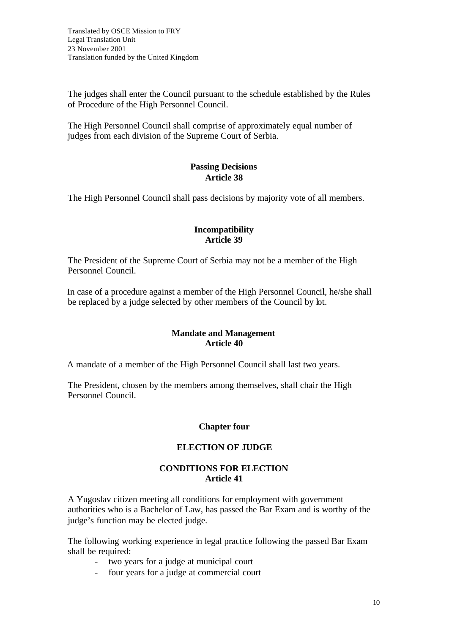The judges shall enter the Council pursuant to the schedule established by the Rules of Procedure of the High Personnel Council.

The High Personnel Council shall comprise of approximately equal number of judges from each division of the Supreme Court of Serbia.

# **Passing Decisions Article 38**

The High Personnel Council shall pass decisions by majority vote of all members.

### **Incompatibility Article 39**

The President of the Supreme Court of Serbia may not be a member of the High Personnel Council.

In case of a procedure against a member of the High Personnel Council, he/she shall be replaced by a judge selected by other members of the Council by lot.

### **Mandate and Management Article 40**

A mandate of a member of the High Personnel Council shall last two years.

The President, chosen by the members among themselves, shall chair the High Personnel Council.

# **Chapter four**

# **ELECTION OF JUDGE**

# **CONDITIONS FOR ELECTION Article 41**

A Yugoslav citizen meeting all conditions for employment with government authorities who is a Bachelor of Law, has passed the Bar Exam and is worthy of the judge's function may be elected judge.

The following working experience in legal practice following the passed Bar Exam shall be required:

- two years for a judge at municipal court
- four years for a judge at commercial court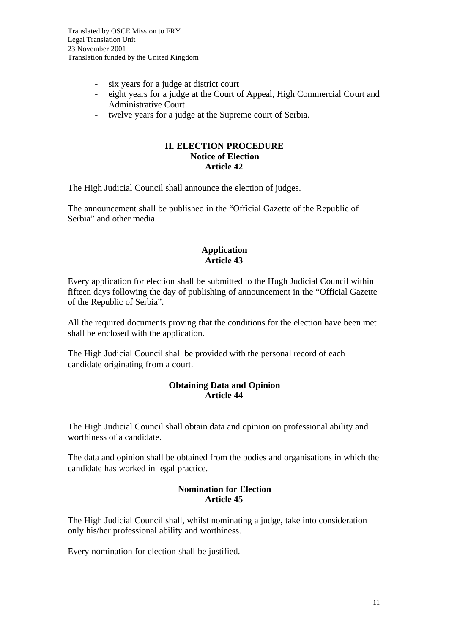- six years for a judge at district court
- eight years for a judge at the Court of Appeal, High Commercial Court and Administrative Court
- twelve years for a judge at the Supreme court of Serbia.

#### **II. ELECTION PROCEDURE Notice of Election Article 42**

The High Judicial Council shall announce the election of judges.

The announcement shall be published in the "Official Gazette of the Republic of Serbia" and other media.

### **Application Article 43**

Every application for election shall be submitted to the Hugh Judicial Council within fifteen days following the day of publishing of announcement in the "Official Gazette of the Republic of Serbia".

All the required documents proving that the conditions for the election have been met shall be enclosed with the application.

The High Judicial Council shall be provided with the personal record of each candidate originating from a court.

# **Obtaining Data and Opinion Article 44**

The High Judicial Council shall obtain data and opinion on professional ability and worthiness of a candidate.

The data and opinion shall be obtained from the bodies and organisations in which the candidate has worked in legal practice.

### **Nomination for Election Article 45**

The High Judicial Council shall, whilst nominating a judge, take into consideration only his/her professional ability and worthiness.

Every nomination for election shall be justified.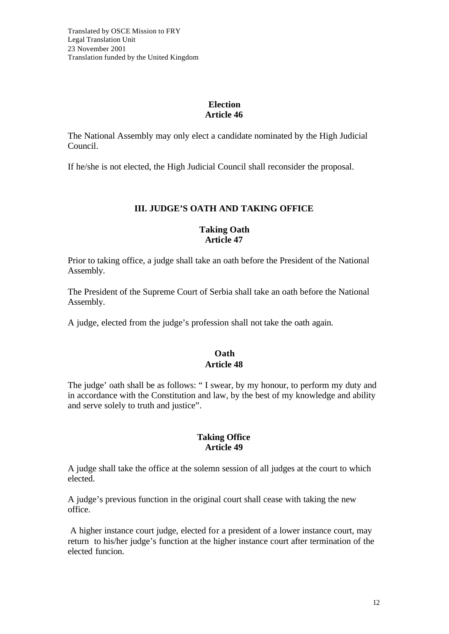# **Election Article 46**

The National Assembly may only elect a candidate nominated by the High Judicial Council.

If he/she is not elected, the High Judicial Council shall reconsider the proposal.

# **III. JUDGE'S OATH AND TAKING OFFICE**

### **Taking Oath Article 47**

Prior to taking office, a judge shall take an oath before the President of the National Assembly.

The President of the Supreme Court of Serbia shall take an oath before the National Assembly.

A judge, elected from the judge's profession shall not take the oath again.

# **Oath Article 48**

The judge' oath shall be as follows: " I swear, by my honour, to perform my duty and in accordance with the Constitution and law, by the best of my knowledge and ability and serve solely to truth and justice".

### **Taking Office Article 49**

A judge shall take the office at the solemn session of all judges at the court to which elected.

A judge's previous function in the original court shall cease with taking the new office.

 A higher instance court judge, elected for a president of a lower instance court, may return to his/her judge's function at the higher instance court after termination of the elected funcion.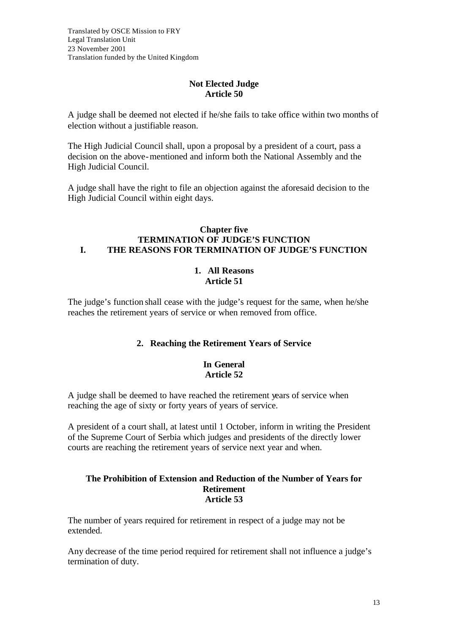# **Not Elected Judge Article 50**

A judge shall be deemed not elected if he/she fails to take office within two months of election without a justifiable reason.

The High Judicial Council shall, upon a proposal by a president of a court, pass a decision on the above-mentioned and inform both the National Assembly and the High Judicial Council.

A judge shall have the right to file an objection against the aforesaid decision to the High Judicial Council within eight days.

#### **Chapter five TERMINATION OF JUDGE'S FUNCTION I. THE REASONS FOR TERMINATION OF JUDGE'S FUNCTION**

# **1. All Reasons Article 51**

The judge's function shall cease with the judge's request for the same, when he/she reaches the retirement years of service or when removed from office.

# **2. Reaching the Retirement Years of Service**

#### **In General Article 52**

A judge shall be deemed to have reached the retirement years of service when reaching the age of sixty or forty years of years of service.

A president of a court shall, at latest until 1 October, inform in writing the President of the Supreme Court of Serbia which judges and presidents of the directly lower courts are reaching the retirement years of service next year and when.

#### **The Prohibition of Extension and Reduction of the Number of Years for Retirement Article 53**

The number of years required for retirement in respect of a judge may not be extended.

Any decrease of the time period required for retirement shall not influence a judge's termination of duty.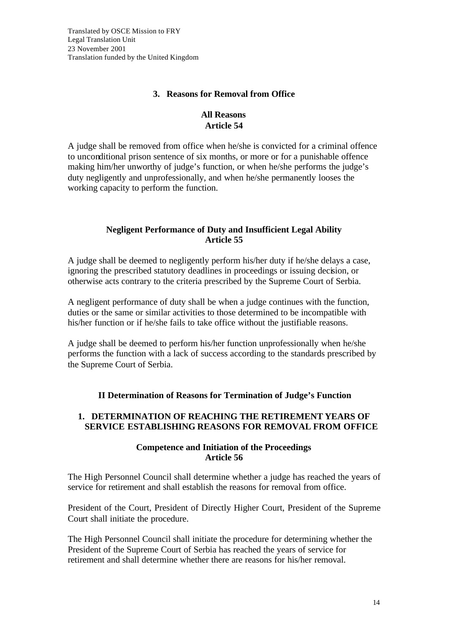# **3. Reasons for Removal from Office**

# **All Reasons Article 54**

A judge shall be removed from office when he/she is convicted for a criminal offence to unconditional prison sentence of six months, or more or for a punishable offence making him/her unworthy of judge's function, or when he/she performs the judge's duty negligently and unprofessionally, and when he/she permanently looses the working capacity to perform the function.

# **Negligent Performance of Duty and Insufficient Legal Ability Article 55**

A judge shall be deemed to negligently perform his/her duty if he/she delays a case, ignoring the prescribed statutory deadlines in proceedings or issuing decision, or otherwise acts contrary to the criteria prescribed by the Supreme Court of Serbia.

A negligent performance of duty shall be when a judge continues with the function, duties or the same or similar activities to those determined to be incompatible with his/her function or if he/she fails to take office without the justifiable reasons.

A judge shall be deemed to perform his/her function unprofessionally when he/she performs the function with a lack of success according to the standards prescribed by the Supreme Court of Serbia.

# **II Determination of Reasons for Termination of Judge's Function**

# **1. DETERMINATION OF REACHING THE RETIREMENT YEARS OF SERVICE ESTABLISHING REASONS FOR REMOVAL FROM OFFICE**

# **Competence and Initiation of the Proceedings Article 56**

The High Personnel Council shall determine whether a judge has reached the years of service for retirement and shall establish the reasons for removal from office.

President of the Court, President of Directly Higher Court, President of the Supreme Court shall initiate the procedure.

The High Personnel Council shall initiate the procedure for determining whether the President of the Supreme Court of Serbia has reached the years of service for retirement and shall determine whether there are reasons for his/her removal.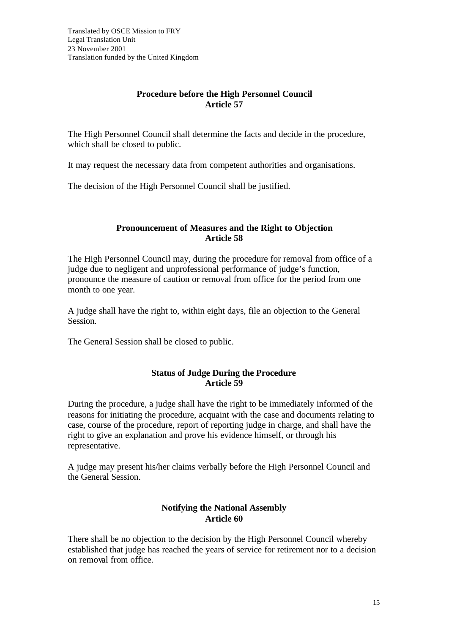# **Procedure before the High Personnel Council Article 57**

The High Personnel Council shall determine the facts and decide in the procedure, which shall be closed to public.

It may request the necessary data from competent authorities and organisations.

The decision of the High Personnel Council shall be justified.

### **Pronouncement of Measures and the Right to Objection Article 58**

The High Personnel Council may, during the procedure for removal from office of a judge due to negligent and unprofessional performance of judge's function, pronounce the measure of caution or removal from office for the period from one month to one year.

A judge shall have the right to, within eight days, file an objection to the General Session.

The General Session shall be closed to public.

# **Status of Judge During the Procedure Article 59**

During the procedure, a judge shall have the right to be immediately informed of the reasons for initiating the procedure, acquaint with the case and documents relating to case, course of the procedure, report of reporting judge in charge, and shall have the right to give an explanation and prove his evidence himself, or through his representative.

A judge may present his/her claims verbally before the High Personnel Council and the General Session.

# **Notifying the National Assembly Article 60**

There shall be no objection to the decision by the High Personnel Council whereby established that judge has reached the years of service for retirement nor to a decision on removal from office.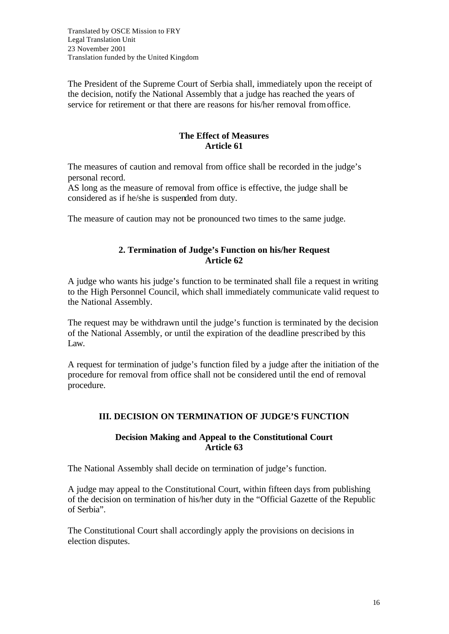Translated by OSCE Mission to FRY Legal Translation Unit 23 November 2001 Translation funded by the United Kingdom

The President of the Supreme Court of Serbia shall, immediately upon the receipt of the decision, notify the National Assembly that a judge has reached the years of service for retirement or that there are reasons for his/her removal from office.

### **The Effect of Measures Article 61**

The measures of caution and removal from office shall be recorded in the judge's personal record.

AS long as the measure of removal from office is effective, the judge shall be considered as if he/she is suspended from duty.

The measure of caution may not be pronounced two times to the same judge.

### **2. Termination of Judge's Function on his/her Request Article 62**

A judge who wants his judge's function to be terminated shall file a request in writing to the High Personnel Council, which shall immediately communicate valid request to the National Assembly.

The request may be withdrawn until the judge's function is terminated by the decision of the National Assembly, or until the expiration of the deadline prescribed by this Law.

A request for termination of judge's function filed by a judge after the initiation of the procedure for removal from office shall not be considered until the end of removal procedure.

# **III. DECISION ON TERMINATION OF JUDGE'S FUNCTION**

#### **Decision Making and Appeal to the Constitutional Court Article 63**

The National Assembly shall decide on termination of judge's function.

A judge may appeal to the Constitutional Court, within fifteen days from publishing of the decision on termination of his/her duty in the "Official Gazette of the Republic of Serbia".

The Constitutional Court shall accordingly apply the provisions on decisions in election disputes.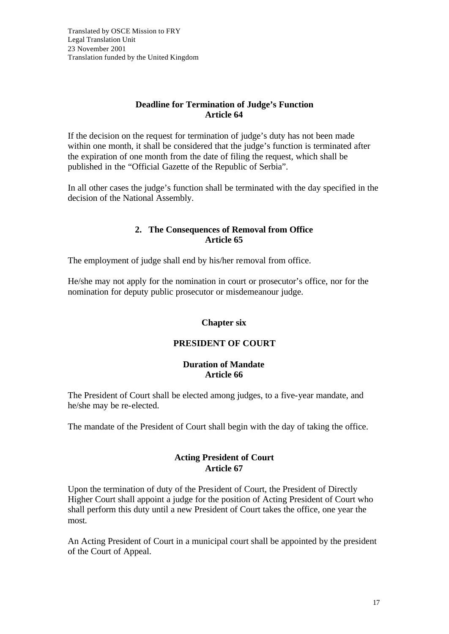### **Deadline for Termination of Judge's Function Article 64**

If the decision on the request for termination of judge's duty has not been made within one month, it shall be considered that the judge's function is terminated after the expiration of one month from the date of filing the request, which shall be published in the "Official Gazette of the Republic of Serbia".

In all other cases the judge's function shall be terminated with the day specified in the decision of the National Assembly.

### **2. The Consequences of Removal from Office Article 65**

The employment of judge shall end by his/her removal from office.

He/she may not apply for the nomination in court or prosecutor's office, nor for the nomination for deputy public prosecutor or misdemeanour judge.

# **Chapter six**

# **PRESIDENT OF COURT**

#### **Duration of Mandate Article 66**

The President of Court shall be elected among judges, to a five-year mandate, and he/she may be re-elected.

The mandate of the President of Court shall begin with the day of taking the office.

# **Acting President of Court Article 67**

Upon the termination of duty of the President of Court, the President of Directly Higher Court shall appoint a judge for the position of Acting President of Court who shall perform this duty until a new President of Court takes the office, one year the most.

An Acting President of Court in a municipal court shall be appointed by the president of the Court of Appeal.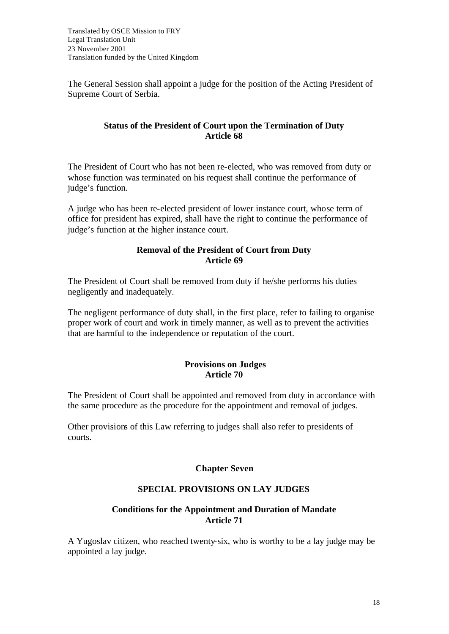The General Session shall appoint a judge for the position of the Acting President of Supreme Court of Serbia.

### **Status of the President of Court upon the Termination of Duty Article 68**

The President of Court who has not been re-elected, who was removed from duty or whose function was terminated on his request shall continue the performance of judge's function.

A judge who has been re-elected president of lower instance court, whose term of office for president has expired, shall have the right to continue the performance of judge's function at the higher instance court.

### **Removal of the President of Court from Duty Article 69**

The President of Court shall be removed from duty if he/she performs his duties negligently and inadequately.

The negligent performance of duty shall, in the first place, refer to failing to organise proper work of court and work in timely manner, as well as to prevent the activities that are harmful to the independence or reputation of the court.

### **Provisions on Judges Article 70**

The President of Court shall be appointed and removed from duty in accordance with the same procedure as the procedure for the appointment and removal of judges.

Other provisions of this Law referring to judges shall also refer to presidents of courts.

# **Chapter Seven**

# **SPECIAL PROVISIONS ON LAY JUDGES**

# **Conditions for the Appointment and Duration of Mandate Article 71**

A Yugoslav citizen, who reached twenty-six, who is worthy to be a lay judge may be appointed a lay judge.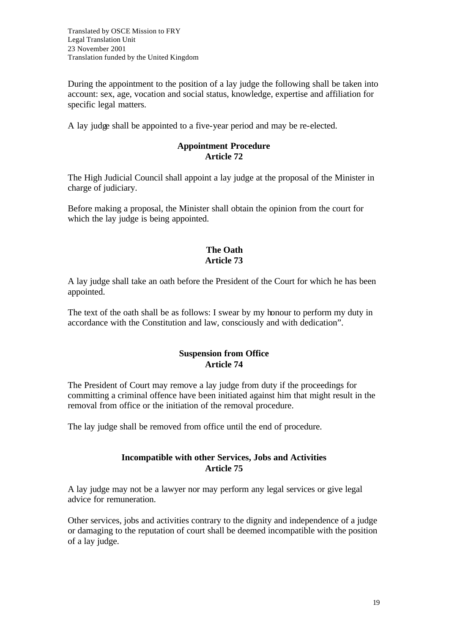During the appointment to the position of a lay judge the following shall be taken into account: sex, age, vocation and social status, knowledge, expertise and affiliation for specific legal matters.

A lay judge shall be appointed to a five-year period and may be re-elected.

### **Appointment Procedure Article 72**

The High Judicial Council shall appoint a lay judge at the proposal of the Minister in charge of judiciary.

Before making a proposal, the Minister shall obtain the opinion from the court for which the lay judge is being appointed.

# **The Oath Article 73**

A lay judge shall take an oath before the President of the Court for which he has been appointed.

The text of the oath shall be as follows: I swear by my honour to perform my duty in accordance with the Constitution and law, consciously and with dedication".

# **Suspension from Office Article 74**

The President of Court may remove a lay judge from duty if the proceedings for committing a criminal offence have been initiated against him that might result in the removal from office or the initiation of the removal procedure.

The lay judge shall be removed from office until the end of procedure.

# **Incompatible with other Services, Jobs and Activities Article 75**

A lay judge may not be a lawyer nor may perform any legal services or give legal advice for remuneration.

Other services, jobs and activities contrary to the dignity and independence of a judge or damaging to the reputation of court shall be deemed incompatible with the position of a lay judge.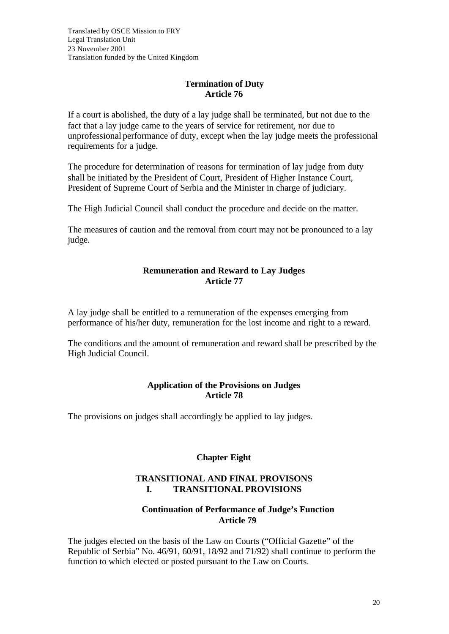# **Termination of Duty Article 76**

If a court is abolished, the duty of a lay judge shall be terminated, but not due to the fact that a lay judge came to the years of service for retirement, nor due to unprofessional performance of duty, except when the lay judge meets the professional requirements for a judge.

The procedure for determination of reasons for termination of lay judge from duty shall be initiated by the President of Court, President of Higher Instance Court, President of Supreme Court of Serbia and the Minister in charge of judiciary.

The High Judicial Council shall conduct the procedure and decide on the matter.

The measures of caution and the removal from court may not be pronounced to a lay judge.

# **Remuneration and Reward to Lay Judges Article 77**

A lay judge shall be entitled to a remuneration of the expenses emerging from performance of his/her duty, remuneration for the lost income and right to a reward.

The conditions and the amount of remuneration and reward shall be prescribed by the High Judicial Council.

### **Application of the Provisions on Judges Article 78**

The provisions on judges shall accordingly be applied to lay judges.

# **Chapter Eight**

# **TRANSITIONAL AND FINAL PROVISONS I. TRANSITIONAL PROVISIONS**

# **Continuation of Performance of Judge's Function Article 79**

The judges elected on the basis of the Law on Courts ("Official Gazette" of the Republic of Serbia" No. 46/91, 60/91, 18/92 and 71/92) shall continue to perform the function to which elected or posted pursuant to the Law on Courts.